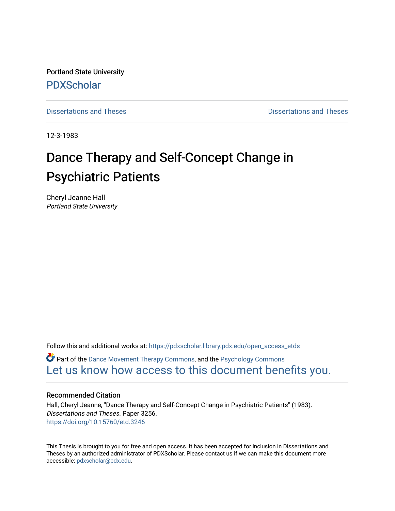Portland State University [PDXScholar](https://pdxscholar.library.pdx.edu/)

[Dissertations and Theses](https://pdxscholar.library.pdx.edu/open_access_etds) **Dissertations** and Theses **Dissertations and Theses** 

12-3-1983

# Dance Therapy and Self-Concept Change in Psychiatric Patients

Cheryl Jeanne Hall Portland State University

Follow this and additional works at: [https://pdxscholar.library.pdx.edu/open\\_access\\_etds](https://pdxscholar.library.pdx.edu/open_access_etds?utm_source=pdxscholar.library.pdx.edu%2Fopen_access_etds%2F3256&utm_medium=PDF&utm_campaign=PDFCoverPages)

**P** Part of the [Dance Movement Therapy Commons,](https://network.bepress.com/hgg/discipline/1150?utm_source=pdxscholar.library.pdx.edu%2Fopen_access_etds%2F3256&utm_medium=PDF&utm_campaign=PDFCoverPages) and the Psychology Commons [Let us know how access to this document benefits you.](http://library.pdx.edu/services/pdxscholar-services/pdxscholar-feedback/) 

# Recommended Citation

Hall, Cheryl Jeanne, "Dance Therapy and Self-Concept Change in Psychiatric Patients" (1983). Dissertations and Theses. Paper 3256. <https://doi.org/10.15760/etd.3246>

This Thesis is brought to you for free and open access. It has been accepted for inclusion in Dissertations and Theses by an authorized administrator of PDXScholar. Please contact us if we can make this document more accessible: [pdxscholar@pdx.edu.](mailto:pdxscholar@pdx.edu)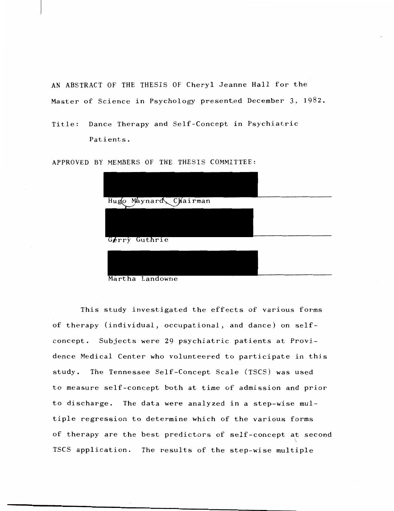AN ABSTRACT OF THE THESIS OF Cheryl Jeanne Hall for the Master of Science in Psychology presented December 3, 1982.

```
Title: Dance Therapy and Self-Concept in Psychiatric 
Patients.
```
APPROVED BY MEMBERS OF THE THESIS COMMITTEE:

| Hugo Maynard Chairman |  |
|-----------------------|--|
|                       |  |
|                       |  |
|                       |  |
| Gerry Guthrie         |  |
|                       |  |
|                       |  |
| Mantha Inndowne       |  |

Martha Landowne

This study investigated the effects of various forms of therapy (individual, occupational, and dance) on selfconcept. Subjects were 29 psychiatric patients at Providence Medical Center who volunteered to participate in this study. The Tennessee Self-Concept Scale (TSCS) was used to measure self-concept both at time of admission and prior to discharge. The data were analyzed in a step-wise multiple regression to determine which of the various forms of therapy are the best predictors of self-concept at second TSCS application. The results of the step-wise multiple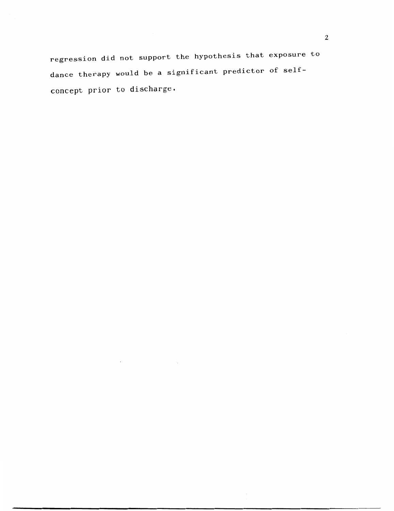regression did not support the hypothesis that exposure to dance therapy would be a significant predictor of selfconcept prior to discharge.

 $\lambda$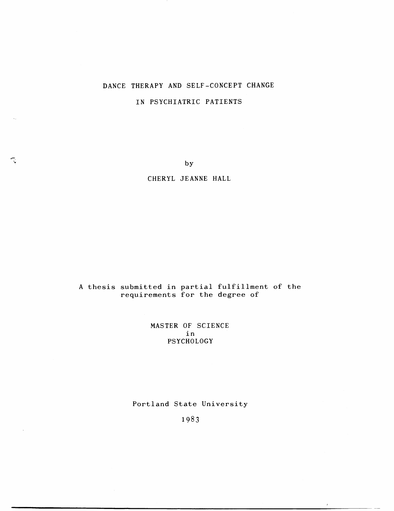# DANCE THERAPY AND SELF-CONCEPT CHANGE

# IN PSYCHIATRIC PATIENTS

by

# CHERYL JEANNE HALL

# A thesis submitted in partial fulfillment of the requirements for the degree of

MASTER OF SCIENCE in PSYCHOLOGY

# Portland State University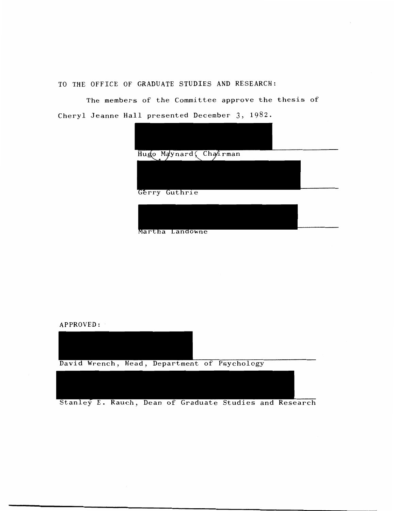TO THE OFFICE OF GRADUATE STUDIES AND RESEARCH:

The members of the Committee approve the thesis of Cheryl Jeanne Hall presented December 3, 1982.



Martha Landowne

APPROVED:



Stanley E. Rauch, Dean of Graduate Studies and Research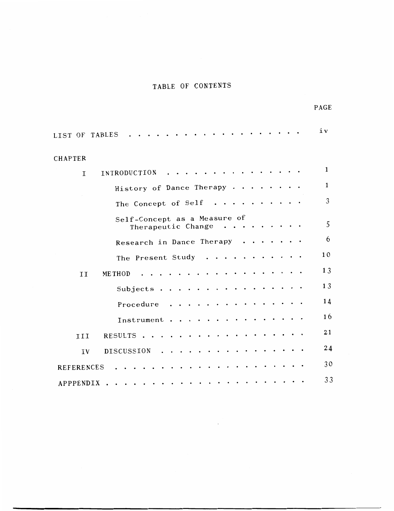# TABLE OF CONTENTS

|                                                    | PAGE         |
|----------------------------------------------------|--------------|
| LIST OF TABLES                                     | iv           |
| CHAPTER                                            |              |
| INTRODUCTION<br>$\mathbf I$                        | 1            |
| History of Dance Therapy.<br>$\bullet$             | $\mathbf{1}$ |
| The Concept of Self.                               | 3            |
| Self-Concept as a Measure of<br>Therapeutic Change | 5            |
| Research in Dance Therapy                          | 6            |
| The Present Study<br>$\bullet$                     | 10           |
| <b>METHOD</b><br>II                                | 13           |
| Subjects.                                          | 13           |
| Procedure                                          | 14           |
| Instrument                                         | 16           |
| RESULTS.<br>III                                    | 21           |
| DISCUSSION<br>IV<br>$\bullet$                      | 24           |
| <b>REFERENCES</b>                                  | 30           |
| APPPENDIX                                          | 33           |
|                                                    |              |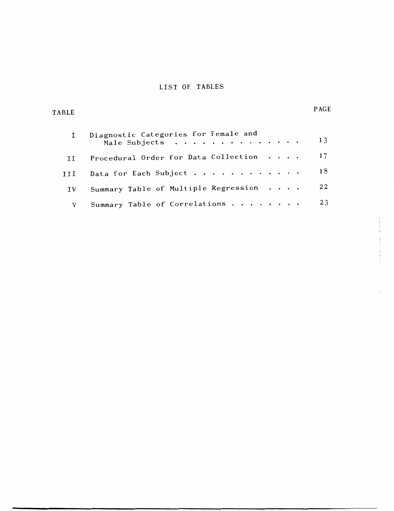# LIST OF TABLES

PAGE

TABLE

|     | Diagnostic Categories for Female and<br>Male Subjects | 13 |
|-----|-------------------------------------------------------|----|
|     | Procedural Order for Data Collection                  | 17 |
|     | Data for Each Subject                                 | 18 |
| ΙV. | Summary Table of Multiple Regression                  | 22 |
|     | Summary Table of Correlations                         | 23 |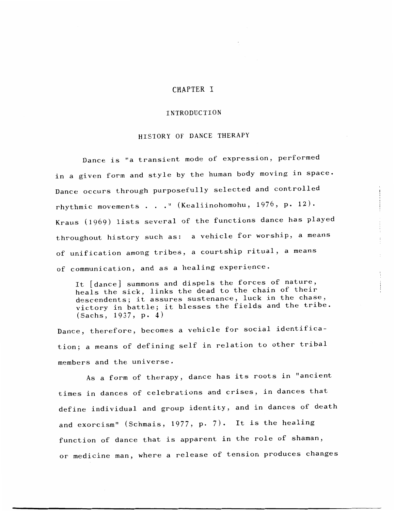# CHAPTER I

#### INTRODUCTION

#### HISTORY OF DANCE THERAPY

Dance is "a transient mode of expression, performed in a given form and style by the human body moving in space. Dance occurs through purposefully selected and controlled rhythmic movements ." (Kealiinohomohu, 1976, p. 12). Kraus (1969) lists several of the functions dance has played throughout history such as: a vehicle for worship, a means of unification among tribes, a courtship ritual, a means of communication, and as a healing experience.

It [dance] summons and dispels the forces of nature, heals the sick, links the dead to the chain of their descendents; it assures sustenance, luck in the chase, victory in battle; it blesses the fields and the tribe. (Sachs, 1937, p. 4)

Dance, therefore, becomes a vehicle for social identification; a means of defining self in relation to other tribal members and the universe.

As a form of therapy, dance has its roots in "ancient times in dances of celebrations and crises, in dances that define individual and group identity, and in dances of death and exorcism" (Schmais, 1977, p. 7). It is the healing function of dance that is apparent in the role of shaman, or medicine man, where a release of tension produces changes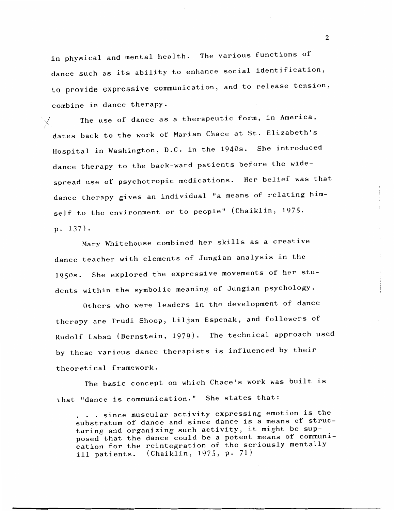in physical and mental health. The various functions of dance such as its ability to enhance social identification, to provide expressive communication, and to release tension, combine in dance therapy.

The use of dance as a therapeutic form, in America, X. dates back to the work of Marian Chace at St. Elizabeth's Hospital in Washington, D.C. in the 1940s. She introduced dance therapy to the back-ward patients before the widespread use of psychotropic medications. Her belief was that dance therapy gives an individual "a means of relating himself to the environment or to people" (Chaiklin, 1975, P• 137).

Mary Whitehouse combined her skills as a creative dance teacher with elements of Jungian analysis in the 1950s. She explored the expressive movements of her students within the symbolic meaning of Jungian psychology.

Others who were leaders in the development of dance therapy are Trudi Shoop, Liljan Espenak, and followers of Rudolf Laban (Bernstein, 1979). The technical approach used by these various dance therapists is influenced by their theoretical framework.

The basic concept on which Chace's work was built is that "dance is communication." She states that:

... since muscular activity expressing emotion is the substratum of dance and since dance is a means of structuring and organizing such activity, it might be supposed that the dance could be a potent means of communication for the reintegration of the seriously mentally ill patients. (Chaiklin, 1975, p. 71)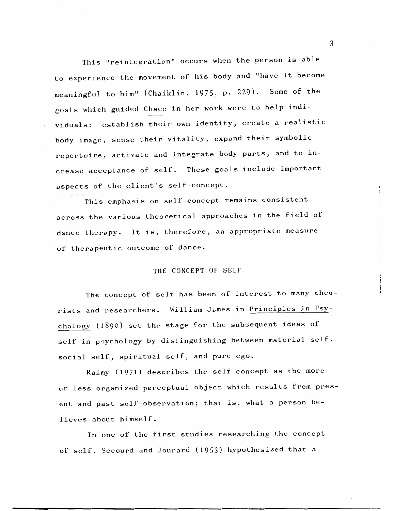This "reintegration" occurs when the person is able to experience the movement of his body and "have it become meaningful to him" (Chaiklin, 1975, p. 229). Some of the goals which guided Chace in her work were to help individuals: establish their own identity, create a realistic body image, sense their vitality, expand their symbolic repertoire, activate and integrate body parts, and to increase acceptance of self. These goals include important aspects of the client's self-concept.

This emphasis on self-concept remains consistent across the various theoretical approaches in the field of dance therapy. It is, therefore, an appropriate measure of therapeutic outcome of dance.

#### THE CONCEPT OF SELF

The concept of self has been of interest to many theorists and researchers. William James in Principles in Psychology (1890) set the stage for the subsequent ideas of self in psychology by distinguishing between material self, social self, spiritual self, and pure ego.

Raimy (1971) describes the self-concept as the more or less organized perceptual object which results from present and past self-observation; that is, what a person believes about himself.

In one of the first studies researching the concept of self, Secourd and Jourard (1953) hypothesized that a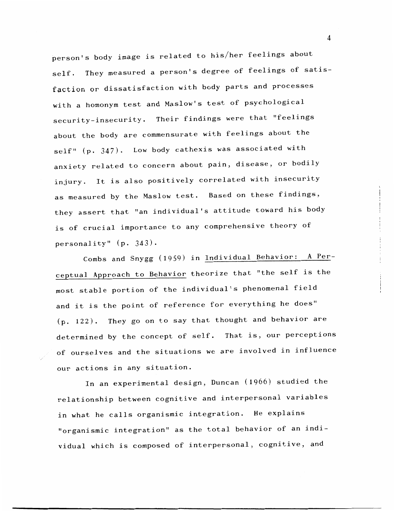person's body image is related to his/her feelings about self. They measured a person's degree of feelings of satisfaction or dissatisfaction with body parts and processes with a homonym test and Maslow's test of psychological security-insecurity. Their findings were that "feelings about the body are commensurate with feelings about the self" (p. 347). Low body cathexis was associated with anxiety related to concern about pain, disease, or bodily injury. It is also positively correlated with insecurity as measured by the Maslow test. Based on these findings, they assert that ''an individual's attitude toward his body is of crucial importance to any comprehensive theory of personality" (p. 343).

Combs and Snygg (1959) in Individual Behavior: A Perceptual Approach to Behavior theorize that "the self is the most stable portion of the individual's phenomenal field and it is the point of reference for everything he does" (p. 122). They go on to say that thought and behavior are determined by the concept of self. That is, our perceptions of ourselves and the situations we are involved in influence our actions in any situation.

In an experimental design, Duncan (1966) studied the relationship between cognitive and interpersonal variables in what he calls organismic integration. He explains "organismic integration" as the total behavior of an individual which is composed of interpersonal, cognitive, and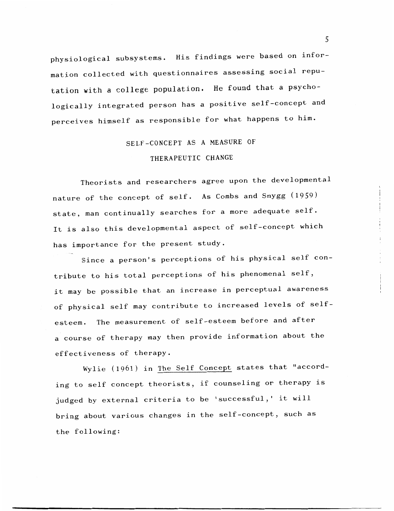physiological subsystems. His findings were based on information collected with questionnaires assessing social reputation with a college population. He found that a psychologically integrated person has a positive self-concept and perceives himself as responsible for what happens to him.

# SELF-CONCEPT AS A MEASURE OF

#### THERAPEUTIC CHANGE

Theorists and researchers agree upon the developmental nature of the concept of self. As Combs and Snygg (1959) state, man continually searches for a more adequate self. It is also this developmental aspect of self-concept which has importance for the present study.

Since a person's perceptions of his physical self contribute to his total perceptions of his phenomenal self, it may be possible that an increase in perceptual awareness of physical self may contribute to increased levels of selfesteem. The measurement of self-esteem before and after a course of therapy may then provide information about the effectiveness of therapy.

Wylie (1961) in The Self Concept states that "according to self concept theorists, if counseling or therapy is judged by external criteria to be 'successful,' it will bring about various changes in the self-concept, such as the following: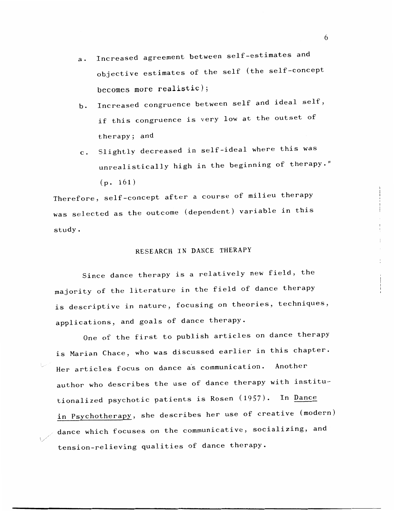- a. Increased agreement between self-estimates and objective estimates of the self (the self-concept becomes more realistic);
- b. Increased congruence between self and ideal self, if this congruence is very low at the outset of therapy; and
- c. Slightly decreased in self-ideal where this was unrealistically high in the beginning of therapy." (p. 161)

Therefore, self-concept after a course of milieu therapy was selected as the outcome (dependent) variable in this study.

# RESEARCH IN DANCE THERAPY

Since dance therapy is a relatively new field, the majority of the literature in the field of dance therapy is descriptive in nature, focusing on theories, techniques, applications, and goals of dance therapy.

One of the first to publish articles on dance therapy is Marian Chace, who was discussed earlier in this chapter. Her articles focus on dance as communication. Another author who describes the use of dance therapy with institutionalized psychotic patients is Rosen (1957). In Dance in Psychotherapy, she describes her use of creative (modern) dance which focuses on the communicative, socializing, and tension-relieving qualities of dance therapy.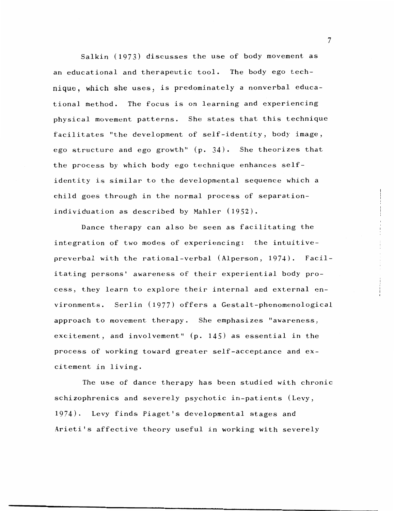Salkin (1973) discusses the use of body movement as an educational and therapeutic tool. The body ego technique, which she uses, is predominately a nonverbal educational method. The focus is on learning and experiencing physical movement patterns. She states that this technique facilitates "the development of self-identity, body image, ego structure and ego growth" (p. 34). She theorizes that the process by which body ego technique enhances selfidentity is similar to the developmental sequence which a child goes through in the normal process of separationindividuation as described by Mahler (1952).

Dance therapy can also be seen as facilitating the integration of two modes of experiencing: the intuitivepreverbal with the rational-verbal (Alperson, 1974). Facilitating persons' awareness of their experiential body process, they learn to explore their internal and external environments. Serlin (1977) offers a Gestalt-phenomenological approach to movement therapy. She emphasizes "awareness, excitement, and involvement" (p. 145) as essential in the process of working toward greater self-acceptance and excitement in living.

The use of dance therapy has been studied with chronic schizophrenics and severely psychotic in-patients (Levy, 1974). Levy finds Piaget's developmental stages and Arieti's affective theory useful in working with severely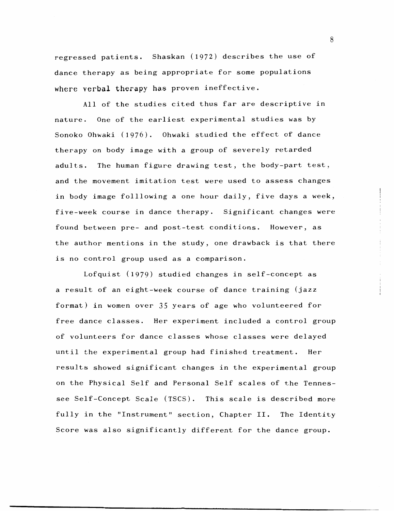regressed patients. Shaskan (1972) describes the use of dance therapy as being appropriate for some populations where verbal therapy has proven ineffective.

All of the studies cited thus far are descriptive in nature. One of the earliest experimental studies was by Sonoko Ohwaki (1976). Ohwaki studied the effect of dance therapy on body image with a group of severely retarded adults. The human figure drawing test, the body-part test, and the movement imitation test were used to assess changes in body image folllowing a one hour daily, five days a week, five-week course in dance therapy. Significant changes were found between pre- and post-test conditions. However, as the author mentions in the study, one drawback is that there is no control group used as a comparison.

Lofquist (1979) studied changes in self-concept as a result of an eight-week course of dance training (jazz format) in women over 35 years of age who volunteered for free dance classes. Her experiment included a control group of volunteers for dance classes whose classes were delayed until the experimental group had finished treatment. Her results showed significant changes in the experimental group on the Physical Self and Personal Self scales of the Tennessee Self-Concept Scale (TSCS). This scale is described more fully in the "Instrument" section, Chapter II. The Identity Score was also significantly different for the dance group.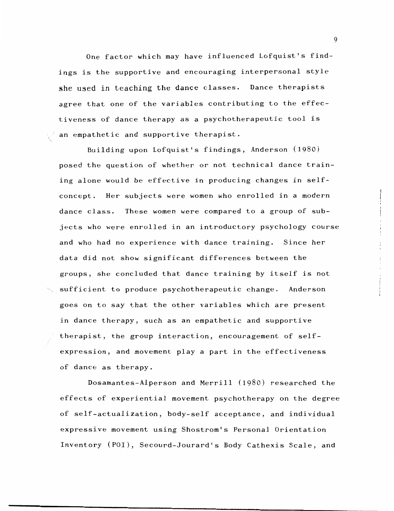One factor which may have influenced Lofquist's findings is the supportive and encouraging interpersonal style she used in teaching the dance classes. Dance therapists agree that one of the variables contributing to the effectiveness of dance therapy as a psychotherapeutic tool is an empathetic and supportive therapist.

Building upon Lofquist's findings, Anderson (1980) posed the question of whether or not technical dance training alone would be effective in producing changes in selfconcept. Her subjects were women who enrolled in a modern dance class. These women were compared to a group of subjects who were enrolled in an introductory psychology course and who had no experience with dance training. Since her data did not show significant differences between the groups, she concluded that dance training by itself is not sufficient to produce psychotherapeutic change. Anderson goes on to say that the other variables which are present in dance therapy, such as an empathetic and supportive therapist, the group interaction, encouragement of selfexpression, and movement play a part in the effectiveness of dance as therapy.

Dosamantes-Alperson and Merrill (1980) researched the effects of experiential movement psychotherapy on the degree of self-actualization, body-self acceptance, and individual expressive movement using Shostrom's Personal Orientation Inventory (POI), Secourd-Jourard's Body Cathexis Scale, and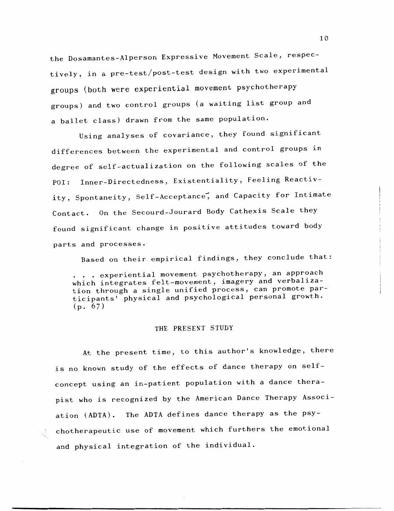the Dosamantes-Alperson Expressive Movement Scale, respectively, in a pre-test/post-test design with two experimental groups (both were experiential movement psychotherapy groups) and two control groups (a waiting list group and a ballet class) drawn from the same population.

Using analyses of covariance, they found significant differences between the experimental and control groups in degree of self-actualization on the following scales of the POI: Inner-Directedness, Existentiality, Feeling Reactivity, Spontaneity, Self-Acceptance, and Capacity for Intimate Contact. On the Secourd-Jourard Body Cathexis Scale they found significant change in positive attitudes toward body parts and processes.

Based on their empirical findings, they conclude that:

. . experiential movement psychotherapy, an approach which integrates felt-movement, imagery and verbalization through a single unified process, can promote participants' physical and psychological personal growth.  $(p. 67)$ 

#### THE PRESENT STUDY

At the present time, to this author's knowledge, there is no known study of the effects of dance therapy on selfconcept using an in-patient population with a dance therapist who is recognized by the American Dance Therapy Association (ADTA). The ADTA defines dance therapy as the psychotherapeutic use of movement which furthers the emotional and physical integration of the individual.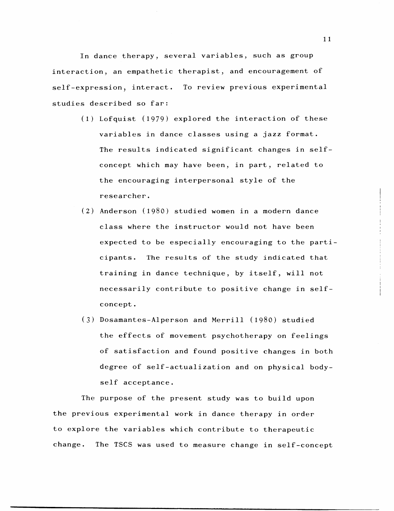In dance therapy, several variables, such as group interaction, an empathetic therapist, and encouragement of self-expression, interact. To review previous experimental studies described so far:

- (1) Lofquist (1979) explored the interaction of these variables in dance classes using a jazz format. The results indicated significant changes in selfconcept which may have been, in part, related to the encouraging interpersonal style of the researcher.
- (2) Anderson (1980) studied women in a modern dance class where the instructor would not have been expected to be especially encouraging to the participants. The results of the study indicated that training in dance technique, by itself, will not necessarily contribute to positive change in selfconcept.
- (3) Dosamantes-Alperson and Merrill (1980) studied the effects of movement psychotherapy on feelings of satisfaction and found positive changes in both degree of self-actualization and on physical bodyself acceptance.

The purpose of the present study was to build upon the previous experimental work in dance therapy in order to explore the variables which contribute to therapeutic change. The TSCS was used to measure change in self-concept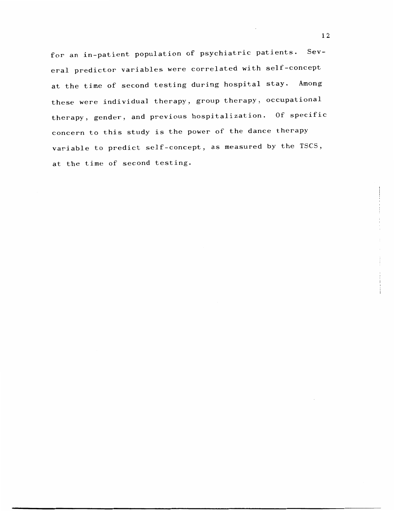for an in-patient population of psychiatric patients. Several predictor variables were correlated with self-concept at the time of second testing during hospital stay. Among these were individual therapy, group therapy, occupational therapy, gender, and previous hospitalization. Of specific concern to this study is the power of the dance therapy variable to predict self-concept, as measured by the TSCS, at the time of second testing.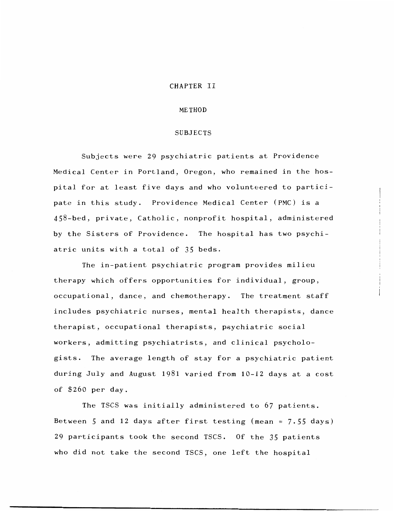#### CHAPTER II

#### METHOD

#### SUBJECTS

Subjects were 29 psychiatric patients at Providence Medical Center in Portland, Oregon, who remained in the hospital for at least five days and who volunteered to participate in this study. Providence Medical Center (PMC) is a 458-bed, private, Catholic, nonprofit hospital, administered by the Sisters of Providence. The hospital has two psychiatric units with a total of 35 beds.

The in-patient psychiatric program provides milieu therapy which offers opportunities for individual, group, occupational, dance, and chemotherapy. The treatment staff includes psychiatric nurses, mental health therapists, dance therapist, occupational therapists, psychiatric social workers, admitting psychiatrists, and clinical psychologists. The average length of stay for a psychiatric patient during July and August 1981 varied from 10-12 days at a cost of \$260 per day.

The TSCS was initially administered to 67 patients. Between 5 and 12 days after first testing (mean = 7.55 days) 29 participants took the second TSCS. Of the 35 patients who did not take the second TSCS, one left the hospital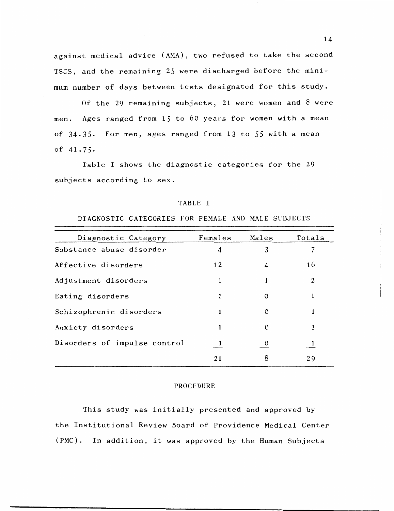against medical advice (AMA), two refused to take the second TSCS, and the remaining 25 were discharged before the minimum number of days between tests designated for this study.

Of the 29 remaining subjects, 21 were women and 8 were men. Ages ranged from 15 to 60 years for women with a mean of 34.35. For men, ages ranged from 13 to *55* with a mean of 41.75.

Table I shows the diagnostic categories for the 29 subjects according to sex.

#### TABLE I

#### DIAGNOSTIC CATEGORIES FOR FEMALE AND MALE SUBJECTS

| Diagnostic Category          | Females | Males        | Totals |
|------------------------------|---------|--------------|--------|
| Substance abuse disorder     | 4       | 3            |        |
| Affective disorders          | 12      | 4            | 16     |
| Adjustment disorders         | 1       | 1            | 2      |
| Eating disorders             |         | $\Omega$     |        |
| Schizophrenic disorders      | 1       | $\Omega$     |        |
| Anxiety disorders            |         | $\Omega$     |        |
| Disorders of impulse control | 1       | $\mathbf{0}$ |        |
|                              | 21      | 8            | 29     |

#### PROCEDURE

This study was initially presented and approved by the Institutional Review Board of Providence Medical Center (PMC). In addition, it was approved by the Human Subjects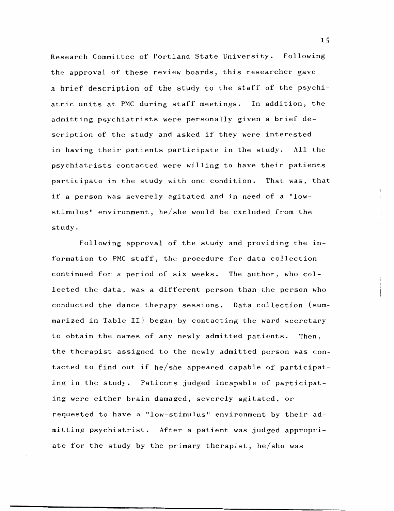Research Committee of Portland State University. Following the approval of these review boards, this researcher gave a brief description of the study to the staff of the psychiatric units at PMC during staff meetings. In addition, the admitting psychiatrists were personally given a brief description of the study and asked if they were interested in having their patients participate in the study. All the psychiatrists contacted were willing to have their patients participate in the study with one condition. That was, that if a person was severely agitated and in need of a "lowstimulus" environment, he/she would be excluded from the study.

Following approval of the study and providing the information to PMC staff, the procedure for data collection continued for a period of six weeks. The author, who collected the data, was a different person than the person who conducted the dance therapy sessions. Data collection (summarized in Table II) began by contacting the ward secretary to obtain the names of any newly admitted patients. Then, the therapist assigned to the newly admitted person was contacted to find out if he/she appeared capable of participating in the study. Patients judged incapable of participating were either brain damaged, severely agitated, or requested to have a "low-stimulus" environment by their admitting psychiatrist. After a patient was judged appropriate for the study by the primary therapist, he/she was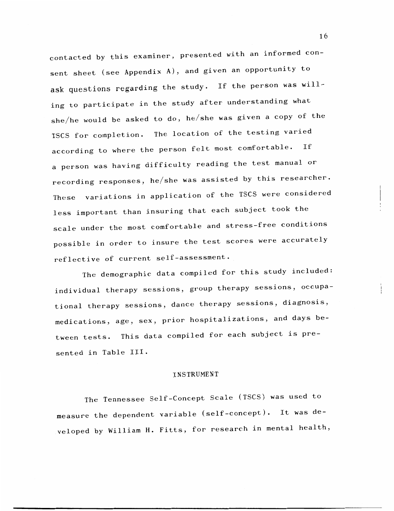contacted by this examiner, presented with an informed consent sheet (see Appendix A), and given an opportunity to ask questions regarding the study. If the person was willing to participate in the study after understanding what she/he would be asked to do, he/she was given a copy of the TSCS for completion. The location of the testing varied according to where the person felt most comfortable. If a person was having difficulty reading the test manual or recording responses, he/she was assisted by this researcher. These variations in application of the TSCS were considered less important than insuring that each subject took the scale under the most comfortable and stress-free conditions possible in order to insure the test scores were accurately reflective of current self-assessment.

The demographic data compiled for this study included: individual therapy sessions, group therapy sessions, occupational therapy sessions, dance therapy sessions, diagnosis, medications, age, sex, prior hospitalizations, and days between tests. This data compiled for each subject is presented in Table III.

#### INSTRUMENT

The Tennessee Self-Concept Scale (TSCS) was used to measure the dependent variable (self-concept). It was developed by William H. Fitts, for research in mental health,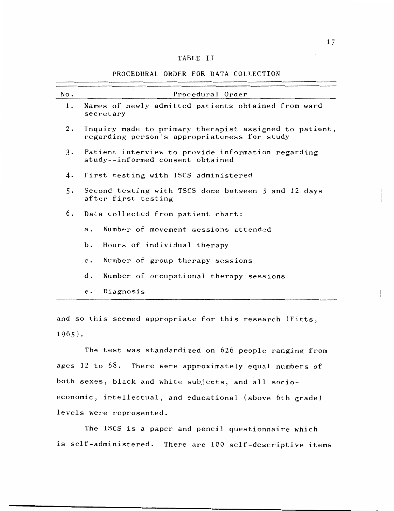#### TABLE II

#### PROCEDURAL ORDER FOR DATA COLLECTION

| No.       | Procedural Order                                                                                       |  |  |  |  |  |  |
|-----------|--------------------------------------------------------------------------------------------------------|--|--|--|--|--|--|
| 1.        | Names of newly admitted patients obtained from ward<br>secretary                                       |  |  |  |  |  |  |
| 2.        | Inquiry made to primary therapist assigned to patient,<br>regarding person's appropriateness for study |  |  |  |  |  |  |
| $3 \cdot$ | Patient interview to provide information regarding<br>study--informed consent obtained                 |  |  |  |  |  |  |
| 4.        | First testing with TSCS administered                                                                   |  |  |  |  |  |  |
| 5.        | Second testing with TSCS done between 5 and 12 days<br>after first testing                             |  |  |  |  |  |  |
| 6.        | Data collected from patient chart:                                                                     |  |  |  |  |  |  |
|           | Number of movement sessions attended<br>$a$ .                                                          |  |  |  |  |  |  |
|           | Hours of individual therapy<br>$b$ .                                                                   |  |  |  |  |  |  |
|           | Number of group therapy sessions<br>$\mathbf{c}$ .                                                     |  |  |  |  |  |  |
|           | Number of occupational therapy sessions<br>d.                                                          |  |  |  |  |  |  |
|           | Diagnosis<br>$\mathbf{e}$ .                                                                            |  |  |  |  |  |  |

and so this seemed appropriate for this research (Fitts, 1965).

The test was standardized on 626 people ranging from ages 12 to 68. There were approximately equal numbers of both sexes, black and white subjects, and all socioeconomic, intellectual, and educational (above 6th grade) levels were represented.

The TSCS is a paper and pencil questionnaire which is self-administered. There are 100 self-descriptive items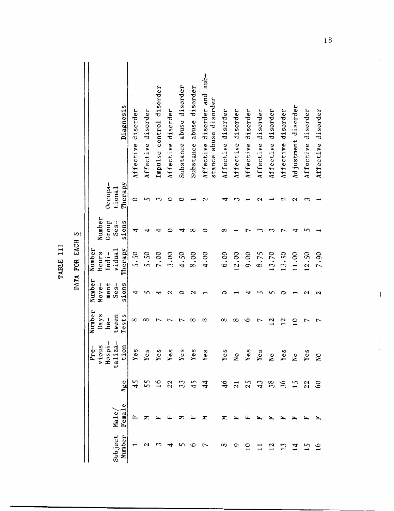|                   |                 |                        |                                        |                         |                         |                            | J               |                   |                                                           |
|-------------------|-----------------|------------------------|----------------------------------------|-------------------------|-------------------------|----------------------------|-----------------|-------------------|-----------------------------------------------------------|
|                   |                 |                        | ا .<br>ا—<br>1<br>Pre-<br>viou<br>Hosp | Number<br>Days<br>$be-$ | Number<br>ment<br>Move- | Number<br>Hours<br>$Indi-$ | Number<br>Group | Occupa-           |                                                           |
| Subject<br>Number | Female<br>Male. | Age                    | $\frac{1}{d}$<br>$\mathbf{r}$<br>taliz | Tests<br>tween          | sions<br>$Ses-$         | Therapy<br>vidual          | sions<br>$Ses-$ | Therapy<br>tional | Diagnosis                                                 |
|                   | ⋤               | 45                     | Yes                                    | $^\infty$               | 4                       | 5.50                       | 4               | 0                 | Affective disorder                                        |
|                   |                 |                        | Yes                                    | $^\infty$               | ທ                       | 5.50                       | 4               | 5                 | Affective disorder                                        |
|                   |                 | $\mathfrak{h}$         | Yes                                    |                         | 4                       | 7.00                       |                 | က                 | Impulse control disorder                                  |
|                   |                 | 22                     | Yes                                    |                         |                         | 3.00                       |                 |                   | Affective disorder                                        |
|                   |                 | $\mathfrak{z}$         | Yes                                    |                         |                         | 4.50                       |                 |                   | abuse disorder<br>Substance                               |
|                   |                 |                        | Yes                                    | $^\infty$               | $\mathbf{\mathsf{a}}$   | 8.00                       | ∞               |                   | abuse disorder<br>Substance                               |
|                   |                 | $\mathbf{4}$           | Yes                                    | ∞                       |                         | 4.00                       |                 | N                 | $sub-$<br>Affective disorder and<br>stance abuse disorder |
| ∞                 |                 | $\frac{6}{1}$          | Yes                                    | ∞                       |                         | 6.00                       | $^\infty$       |                   | Affective disorder                                        |
|                   |                 | $\overline{c}$         | N <sub>O</sub>                         | ∞                       |                         | 12.00                      |                 |                   | Affective disorder                                        |
|                   |                 | 25                     | Yes                                    | ٥                       |                         | 00.6                       |                 |                   | Affective disorder                                        |
|                   |                 | $\boldsymbol{\hat{4}}$ | Yes                                    |                         |                         | 8.75                       |                 |                   | disorder<br>Affective                                     |
| $^{12}$           |                 | 38                     | Χo                                     | 12                      |                         | 13.70                      |                 |                   | disorder<br>Affective                                     |
|                   |                 | 36                     | Yes                                    | 12                      |                         | 13.50                      |                 |                   | Affective disorder                                        |
|                   |                 |                        | Χo                                     | $\overline{10}$         |                         | 11.00                      |                 |                   | Adjustment disorder                                       |
|                   |                 | 22                     | Yes                                    |                         | $\mathbf \Omega$        | 12.50                      |                 |                   | Affective disorder                                        |
|                   |                 | $\infty$               | $\overline{N}$                         |                         |                         | 7.90                       |                 |                   | Affective disorder                                        |

DATA FOR EACH S DATA FOR EACH S

TABLE III

TABLE III

......  $18$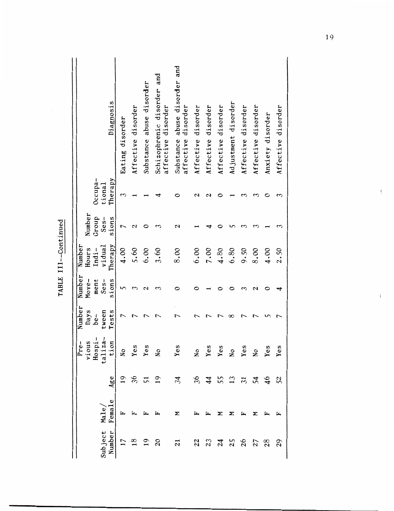| Diagnosis                                       |                 | Affective disorder | Substance abuse disorder | Schizophrenic disorder and<br>affective disorder | Substance abuse disorder and<br>affective disorder | Affective disorder | Affective disorder | Affective disorder | Adjustment disorder | Affective disorder | Affective disorder |                  | Affective disorder |
|-------------------------------------------------|-----------------|--------------------|--------------------------|--------------------------------------------------|----------------------------------------------------|--------------------|--------------------|--------------------|---------------------|--------------------|--------------------|------------------|--------------------|
|                                                 | Eating disorder |                    |                          |                                                  |                                                    |                    |                    |                    |                     |                    |                    | Anxiety disorder |                    |
| Occupa-<br>Therapy<br>tional                    | S               |                    |                          |                                                  |                                                    | 2                  |                    |                    |                     |                    |                    |                  |                    |
| Number<br>Group<br>$Ses-$<br>sions              | L               | N                  |                          |                                                  | $\mathbf \alpha$                                   |                    |                    |                    |                     |                    |                    |                  |                    |
| Therapy<br>Number<br>vidual<br>Hours<br>$Indi-$ | 4.00            | 5.60               | 6.00                     | 3.60                                             | 8.00                                               | 6.00               | 7.00               | 4.80               | 6.80                | 9.50               | 8.00               | 4.00             | 2.50               |
| Number<br>$Ses-$<br>sions<br>Move-<br>ment      | ഗ               | Σ                  | 2                        | 3                                                |                                                    |                    |                    |                    |                     |                    |                    |                  |                    |
| Number<br>Days<br>Tests<br>tween<br>$be-$       | 1               |                    |                          |                                                  |                                                    |                    |                    |                    |                     |                    |                    |                  |                    |
| vious<br>Hospi-<br>taliza-<br>tion<br>Pre-      |                 |                    |                          |                                                  |                                                    |                    |                    |                    | $N_{\rm O}$         | Yes                |                    | No<br>Yes<br>Yes |                    |
| Age                                             |                 |                    |                          | 19                                               | 34                                                 | 36                 | 44                 | 55                 | $\overline{13}$     | $\overline{5}$     | 걵                  | 46               | 52                 |
| iubject Male/<br>Number Female                  |                 |                    |                          |                                                  | Σ                                                  |                    |                    |                    |                     |                    |                    |                  |                    |
|                                                 |                 |                    |                          |                                                  | 21                                                 | 22                 | 23                 | $\overline{a}$     | 25                  | 26                 | 27                 | 28               | 29                 |

TABLE III--Continued -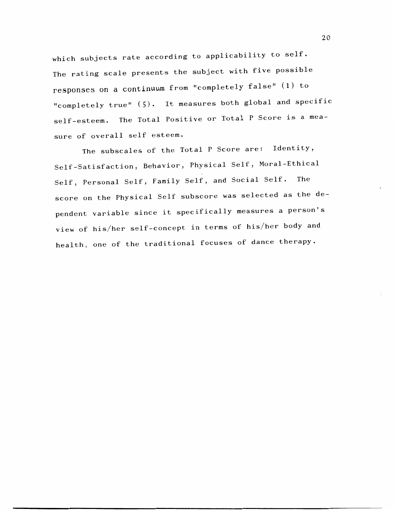which subjects rate according to applicability to self. The rating scale presents the subject with five possible responses on a continuum from "completely false" (1) to "completely true" (5). It measures both global and specific self-esteem. The Total Positive or Total P Score is a measure of overall self esteem.

The subscales of the Total P Score are: Identity, Self-Satisfaction, Behavior, Physical Self, Moral-Ethical Self, Personal Self, Family Self, and Social Self. The score on the Physical Self subscore was selected as the dependent variable since it specifically measures a person's view of his/her self-concept in terms of his/her body and health, one of the traditional focuses of dance therapy.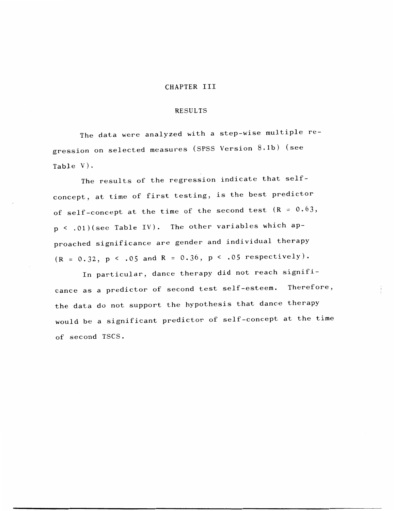#### CHAPTER III

#### RESULTS

The data were analyzed with a step-wise multiple regression on selected measures (SPSS Version 8.lb) (see Table V).

The results of the regression indicate that selfconcept, at time of first testing, is the best predictor of self-concept at the time of the second test  $(R = 0.63,$ p < .Ol)(see Table IV). The other variables which approached significance are gender and individual therapy  $(R = 0.32, p < .05$  and  $R = 0.36, p < .05$  respectively).

In particular, dance therapy did not reach significance as a predictor of second test self-esteem. Therefore, the data do not support the hypothesis that dance therapy would be a significant predictor of self-concept at the time of second TSCS.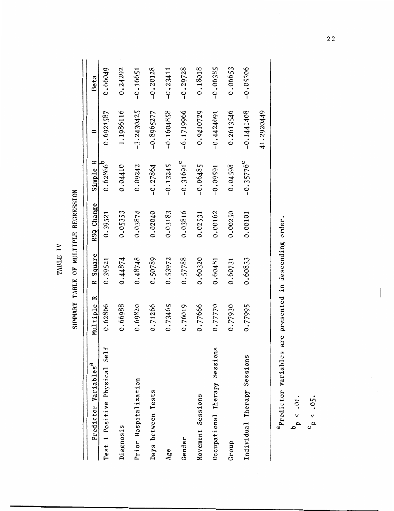TABLE IV TABLE IV

-0.06385 0.66049 0.24292 -0.20128 -0 .23411 -0.29728 0 .18018 0.06653 -0.05306 -0 .16651 0.66049 0.24292  $-0.20128$  $-0.29728$ 0.18018  $-0.06385$ 0.06653  $-0.05306$  $-0.16651$  $-0.23411$ Beta  $-0.8965277$ 1.1986116  $-3.2430425$ -3.2430425 0.6921587 1.1986116 -0.8965277  $-0.1604858$ -0.1604858  $-6.1719966$ -6.1719966 0.9410729  $-0.4424691$ -0.4424691 0.2613546 -0.1441408 41.2920449 0.9410729 0.2613546  $-0.1441408$ 41.2920449 0.6921587 B Predictor Variables<sup>a</sup> Multiple R Square RSQ Change Simple R  $-0.31691^{\circ}$  $0.62866^{b}$ Test 1 Positive Physical Self 0.62866 0.39521 0.39521 0.62866 Gender 0.76019 0.57788 0.03816 -o.31691c Individual Therapy Sessions 0.77995 0.60833 0.00101 -0.35776  $-0.35776^{\circ}$ Simple R diagnosis 0.68988 0.44874 0.44874 0.4574 0.05353 0.04410 Prior Hospitalization 0.69820 0.48748 0.03874 0.09242 Days between Tests 0.71266 0.50789 0.02040 -0.27864 Age 1985 0.73465 0.53972 0.53972 0.03183 -0.13245 Movement Sessions 0.77666 0.60320 0.02531 -0.06485  $-0.13245$  $-0.06485$ Occupational Therapy Sessions  $0.77770$  0.60481 0.00162 -0.09591 Group 0.77930 0.00250 0.000250 0.0002521 0.00250 0.04598 0.04410  $-0.27864$ 0.04598 0.09242  $-0.09591$ RSQ Change 0.05353 0.02040 0.03183 0.03816 0.39521 0.03874 0.02531 0.00162 0.00250 0.00101 R Square 0.39521 0.44874 0.48748 0.50789  $0.53972$ 0.57788 0.60320 0.60833 0.60481 0.60731 Multiple R 0.66988 0.62866 0.69820 0.71266 0.73465 0.76019 0.77666 0.77770 0.77930 0.77995 Test 1 Positive Physical Self Occupational Therapy Sessions Individual Therapy Sessions Predictor Variables<sup>a</sup> Prior Hospitalization Days between Tests Movement Sessions Diagnosis Gender Group Age

SUMMARY TABLE OF MULTIPLE REGRESSION SUMMARY TABLE OF MULTIPLE RECRESSION

<sup>7</sup>Predictor variables are presented in descending order. <sup>a</sup>Predictor variables are presented in descending order.

 $b_p < .01$ .

 $c_{\rm p}$  < .05.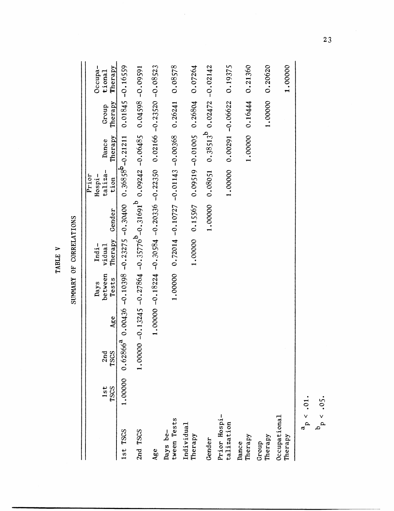| ₽                     |  |
|-----------------------|--|
| 囜<br>m<br>⋖<br>r<br>⊟ |  |

SUMMARY OF CORRELATIONS SUMMARY OF CORRELATIONS

|                                      |         |      |     |         |         |                                                                                           | Prior           |                     |                                          |                  |
|--------------------------------------|---------|------|-----|---------|---------|-------------------------------------------------------------------------------------------|-----------------|---------------------|------------------------------------------|------------------|
|                                      |         |      |     | Days    | $Indi-$ |                                                                                           | Hospi-          |                     |                                          | Occupa-          |
|                                      | 1st     | 2nd  |     | between | vidual  |                                                                                           | taliza-         | Dance               | Group                                    | tional           |
|                                      | TSCS    | TSCS | Age | Tests   | Therapy | Gender                                                                                    | tion            | Therapy             | Therapy                                  | Therapy          |
| 1st TSCS                             | 1.00000 |      |     |         |         | $0.62866^{a}$ $0.00436$ -0.10398 -0.23275 -0.30400 0.36858 <sup>b</sup> -0.21211          |                 |                     |                                          | 0.01845 -0.16559 |
| 2nd TSCS                             |         |      |     |         |         | $-0.00000 - 0.13245 -0.27864 -0.35776^{D} -0.31691^{D} 0.09242 -0.06485 0.04598 -0.09591$ |                 |                     |                                          |                  |
| Age                                  |         |      |     |         |         | $1.18224 - 0.18224 - 0.30584 - 0.22350$ 0.02166 - 0.2166 - 0.3523                         |                 |                     |                                          |                  |
| tween Tests<br>$_{\rm{bays\,\,be-}}$ |         |      |     | 1.00000 |         | $0.72014 - 0.10727 - 0.01143 - 0.00368$ 0.26241                                           |                 |                     |                                          | 0.08578          |
| Individual<br>Therapy                |         |      |     |         | 1.00000 |                                                                                           |                 |                     | $0.15567$ $0.09519$ $-0.01005$ $0.26804$ | 0.07264          |
| Gender                               |         |      |     |         |         |                                                                                           | 1,00000 0.08051 |                     | $0.38513^{b}$ 0.02472 -0.02142           |                  |
| Prior Hospi-<br>talization           |         |      |     |         |         |                                                                                           | 1.00000         | $0.00291 - 0.06622$ |                                          | 0.19375          |
| Therapy<br>Dance                     |         |      |     |         |         |                                                                                           |                 |                     | 1.0000 0.16444                           | 0.21360          |
| Therapy<br>Group                     |         |      |     |         |         |                                                                                           |                 |                     | 1.00000                                  | 0.20620          |
| $0$ c $\alpha$ upational<br>Therapy  |         |      |     |         |         |                                                                                           |                 |                     |                                          | 1.00000          |
| $a_p < .01$ .                        |         |      |     |         |         |                                                                                           |                 |                     |                                          |                  |
| $b_p < .05.$                         |         |      |     |         |         |                                                                                           |                 |                     |                                          |                  |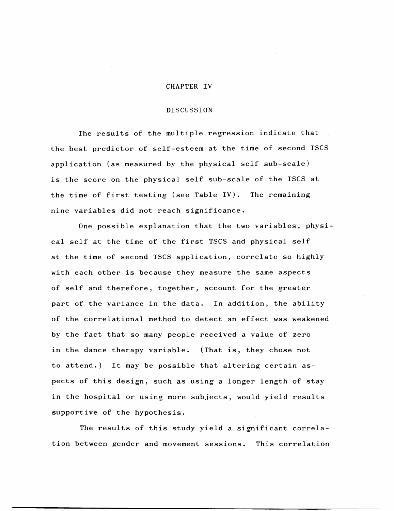#### CHAPTER IV

#### DISCUSSION

The results of the multiple regression indicate that the best predictor of self-esteem at the time of second TSCS application (as measured by the physical self sub-scale) is the score on the physical self sub-scale of the TSCS at the time of first testing (see Table IV). The remaining nine variables did not reach significance.

One possible explanation that the two variables, physical self at the time of the first TSCS and physical self at the time of second TSCS application, correlate so highly with each other is because they measure the same aspects of self and therefore, together, account for the greater part of the variance in the data. In addition, the ability of the correlational method to detect an effect was weakened by the fact that so many people received a value of zero in the dance therapy variable. (That is, they chose not to attend.) It may be possible that altering certain aspects of this design, such as using a longer length of stay in the hospital or using more subjects, would yield results supportive of the hypothesis.

The results of this study yield a significant correlation between gender and movement sessions. This correlation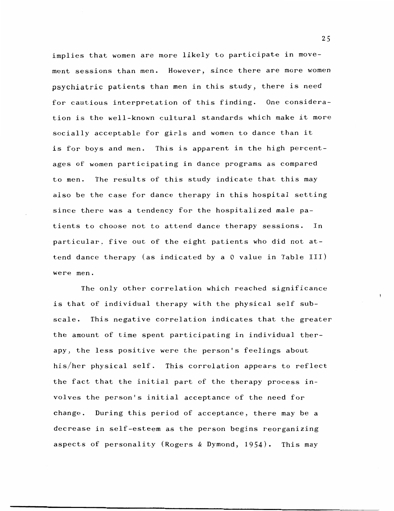implies that women are more likely to participate in movement sessions than men. However, since there are more women psychiatric patients than men in this study, there is need for cautious interpretation of this finding. One consideration is the well-known cultural standards which make it more socially acceptable for girls and women to dance than it is for boys and men. This is apparent in the high percentages of women participating in dance programs as compared to men. The results of this study indicate that this may also be the case for dance therapy in this hospital setting since there was a tendency for the hospitalized male patients to choose not to attend dance therapy sessions. In particular, five out of the eight patients who did not attend dance therapy (as indicated by a 0 value in Table III) were men.

The only other correlation which reached significance is that of individual therapy with the physical self subscale. This negative correlation indicates that the greater the amount of time spent participating in individual therapy, the less positive were the person's feelings about his/her physical self. This correlation appears to reflect the fact that the initial part of the therapy process involves the person's initial acceptance of the need for change. During this period of acceptance, there may be a decrease in self-esteem as the person begins reorganizing aspects of personality (Rogers & Dymond, 1954). This may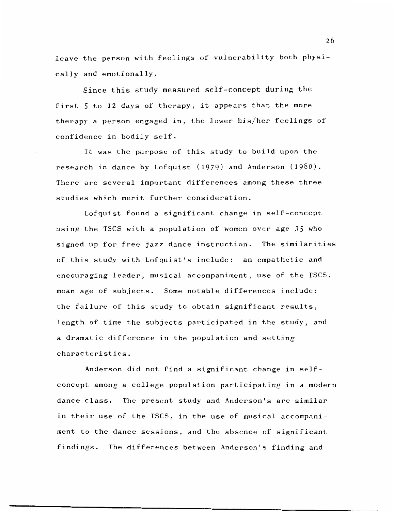leave the person with feelings of vulnerability both physically and emotionally.

Since this study measured self-concept during the first 5 to 12 days of therapy, it appears that the more therapy a person engaged in, the lower his/her feelings of confidence in bodily self.

It was the purpose of this study to build upon the research in dance by Lofquist (1979) and Anderson (1980). There are several important differences among these three studies which merit further consideration.

Lofquist found a significant change in self-concept using the TSCS with a population of women over age 35 who signed up for free jazz dance instruction. The similarities of this study with Lofquist's include: an empathetic and encouraging leader, musical accompaniment, use of the TSCS, mean age of subjects. Some notable differences include: the failure of this study to obtain significant results, length of time the subjects participated in the study, and a dramatic difference in the population and setting characteristics.

Anderson did not find a significant change in selfconcept among a college population participating in a modern dance class. The present study and Anderson's are similar in their use of the TSCS, in the use of musical accompaniment to the dance sessions, and the absence of significant findings. The differences between Anderson's finding and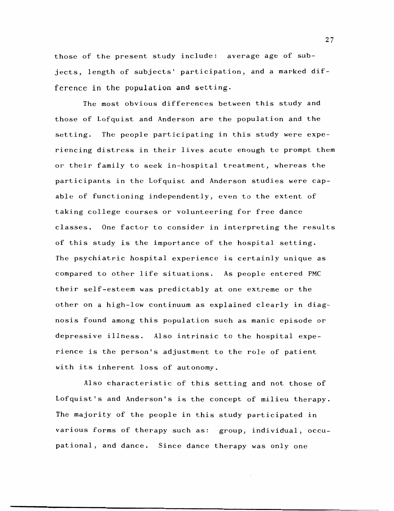those of the present study include: average age of subjects, length of subjects' participation, and a marked difference in the population and setting.

The most obvious differences between this study and those of Lofquist and Anderson are the population and the setting. The people participating in this study were experiencing distress in their lives acute enough to prompt them or their family to seek in-hospital treatment, whereas the participants in the Lofquist and Anderson studies were capable of functioning independently, even to the extent of taking college courses or volunteering for free dance classes. One factor to consider in interpreting the results of this study is the importance of the hospital setting. The psychiatric hospital experience is certainly unique as compared to other life situations. As people entered PMC their self-esteem was predictably at one extreme or the other on a high-low continuum as explained clearly in diagnosis found among this population such as manic episode or depressive illness. Also intrinsic to the hospital experience is the person's adjustment to the role of patient with its inherent loss of autonomy.

Also characteristic of this setting and not those of Lofquist's and Anderson's is the concept of milieu therapy. The majority of the people in this study participated in various forms of therapy such as: group, individual, occupational, and dance. Since dance therapy was only one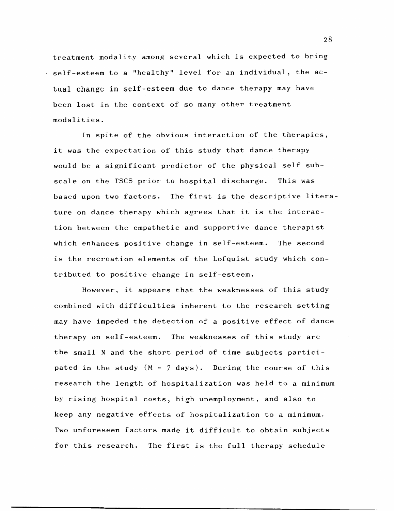treatment modality among several which is expected to bring self-esteem to a "healthy" level for an individual, the actual change in self-esteem due to dance therapy may have been lost in the context of so many other treatment modalities.

In spite of the obvious interaction of the therapies, it was the expectation of this study that dance therapy would be a significant predictor of the physical self subscale on the TSCS prior to hospital discharge. This was based upon two factors. The first is the descriptive literature on dance therapy which agrees that it is the interaction between the empathetic and supportive dance therapist which enhances positive change in self-esteem. The second is the recreation elements of the Lofquist study which contributed to positive change in self-esteem.

However, it appears that the weaknesses of this study combined with difficulties inherent to the research setting may have impeded the detection of a positive effect of dance therapy on self-esteem. The weaknesses of this study are the small N and the short period of time subjects participated in the study (M = 7 days). During the course of this research the length of hospitalization was held to a minimum by rising hospital costs, high unemployment, and also to keep any negative effects of hospitalization to a minimum. Two unforeseen factors made it difficult to obtain subjects for this research. The first is the full therapy schedule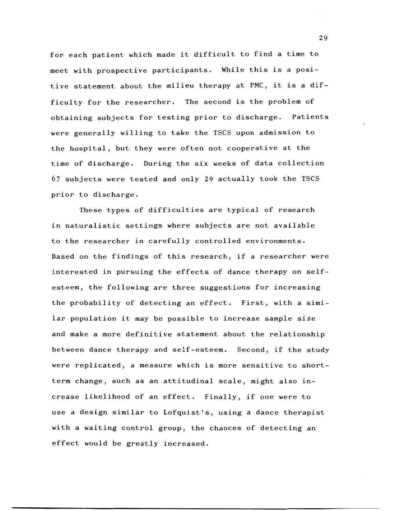for each patient which made it difficult to find a time to meet with prospective participants. While this is a positive statement about the milieu therapy at PMC, it is a difficulty for the researcher. The second is the problem of obtaining subjects for testing prior to discharge. Patients were generally willing to take the TSCS upon admission to the hospital, but they were often not cooperative at the time of discharge. During the six weeks of data collection 67 subjects were tested and only 29 actually took the TSCS prior to discharge.

These types of difficulties are typical of research in naturalistic settings where subjects are not available to the researcher in carefully controlled environments. Based on the findings of this research, if a researcher were interested in pursuing the effects of dance therapy on selfesteem, the following are three suggestions for increasing the probability of detecting an effect. First, with a similar population it may be possible to increase sample size and make a more definitive statement about the relationship between dance therapy and self-esteem. Second, if the study were replicated, a measure which is more sensitive to shortterm change, such as an attitudinal scale, might also increase likelihood of an effect. Finally, if one were to use a design similar to Lofquist's, using a dance therapist with a waiting control group, the chances of detecting an effect would be greatly increased.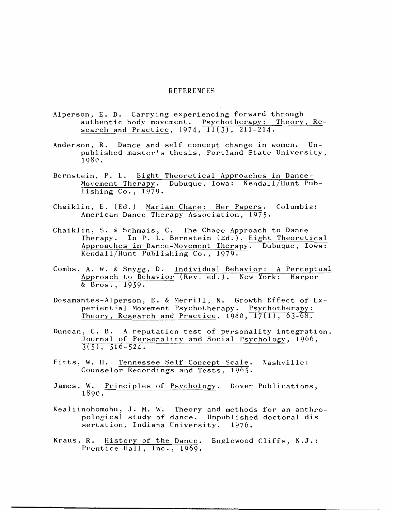#### REFERENCES

- Alperson, E. D. Carrying experiencing forward through authentic body movement. Psychotherapy: Theory, Research and Practice,  $1974, \overline{11(3)}, 211-214.$
- Anderson, R. Dance and self concept change in women. Unpublished master's thesis, Portland State University, 1980.
- Bernstein, P. L. Eight Theoretical Approaches in Dance-Movement Therapy. Dubuque, Iowa: Kendall/Hunt Publishing Co., 1979.
- Chaiklin, E. (Ed.) Marian Chace: Her Papers. Columbia: American Dance Therapy Association, 1975.
- Chaiklin, S. & Schmais, C. The Chace Approach to Dance Therapy. In P. L. Bernstein (Ed.), Eight Theoretical Approaches in Dance-Movement Therapy. Dubuque, Iowa: Kendall/Hunt Publishing Co., 1979.
- Combs, A. W. & Snygg, D. Individual Behavior: A Perceptual Approach to Behavior (Rev. ed.). New York: Harper & Bros., 1959.
- Dosamantes-Alperson, E. & Merrill, N. Growth Effect of Experiential Movement Psychotherapy. Psychotherapy: Theory, Research and Practice,  $1980, 17(1), 63-68.$
- Duncan, C. B. A reputation test of personality integration. Journal of Personality and Social Psychology, 1966,  $3(5)$ ,  $516-524$ .
- Fitts, W. H. Tennessee Self Concept Scale. Nashville: Counselor Recordings and Tests, 1965.
- James, W. Principles of Psychology. Dover Publications, 1890.
- Kealiinohomohu, J. M. W. Theory and methods for an anthropological study of dance. Unpublished doctoral dissertation, Indiana University. 1976.
- Kraus, R. History of the Dance. Englewood Cliffs, N.J.: Prentice-Hall, Inc., 1969.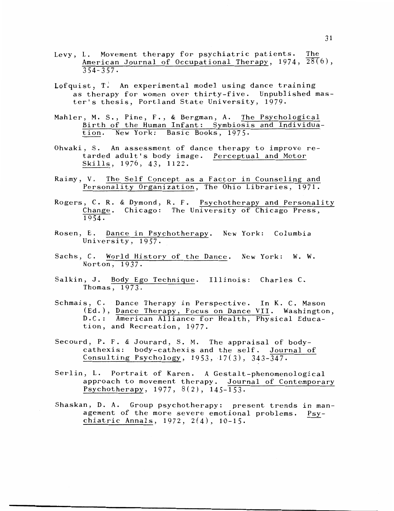- Levy, L. Movement therapy for psychiatric patients. The American Journal of Occupational Therapy,  $1974$ ,  $28(6)$ ,  $354 - 357$ .
- Lofquist, T. An experimental model using dance training as therapy for women over thirty-five. Unpublished master's thesis, Portland State University, 1979.
- Mahler, M. S., Pine, F., & Bergman, A. The Psychological Birth of the Human Infant: Symbiosis and Individuation. New York: Basic Books, 1975.
- Ohwaki, S. An assessment of dance therapy to improve retarded adult's body image. Perceptual and Motor Skills, 1976, 43, 1122.
- Raimy, V. The Self Concept as a Factor in Counseling and Personality Organization, The Ohio Libraries, 1971.
- Rogers, C. R. & Dymond, R. F. Psychotherapy and Personality Change. Chicago: The University of Chicago Press, 1954.
- Rosen, E. Dance in Psychotherapy. New York: Columbia University, 1957.
- Sachs, C. World History of the Dance. New York: W. W. Norton, 1937.
- Salkin, J. Body Ego Technique. Illinois: Charles C. Thomas,  $1973.$
- Schmais, C. Dance Therapy in Perspective. In K. C. Mason (Ed.), Dance Therapy, Focus on Dance VII. Washington, D. C. : American Alliance for Health, Physical Education, and Recreation, 1977.
- Secourd, P. F. & Jourard, S. M. The appraisal of bodycathexis: body-cathexis and the self. Journal of Consulting Psychology, 1953, 17(3), 343-347.
- Serlin, L. Portrait of Karen. A Gestalt-phenomenological approach to movement therapy. Journal of Contemporary Psychotherapy, 1977, 8(2), 145-153.
- Shaskan, D. A. Group psychotherapy: present trends in management of the more severe emotional problems. Psychiatric Annals, 1972, 2(4), 10-15.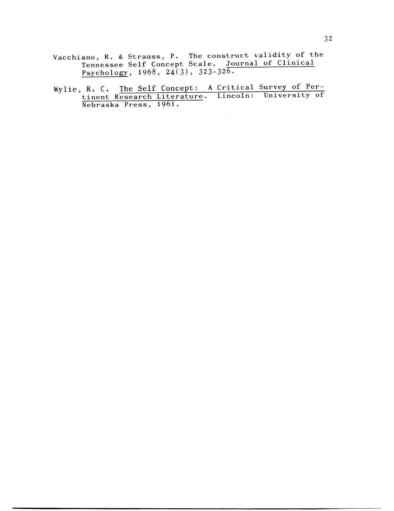- Vacchiano, R. & Strauss, P. The construct validity of the Tennessee Self Concept Scale. Journal of Clinical Psychology,  $1968$ ,  $24(3)$ ,  $323-326$ .
- Wylie, R. C. The Self Concept: A Critical Survey of Pertinent Research Literature. Lincoln: University of Nebraska Press, 1961.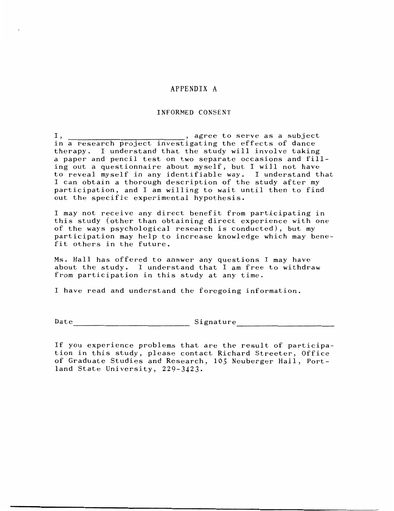#### APPENDIX A

#### INFORMED CONSENT

 $I,$   $\_\_\_\_\_\_\_\_\_\_\_\_\_\_\_\_\_\_$ , agree to serve as a subject in a research project investigating the effects of dance therapy. I understand that the study will involve taking a paper and pencil test on two separate occasions and filling out a questionnaire about myself, but I will not have to reveal myself in any identifiable way. I understand that I can obtain a thorough description of the study after my participation, and I am willing to wait until then to find out the specific experimental hypothesis.

I may not receive any direct benefit from participating in this study (other than obtaining direct experience with one of the ways psychological research is conducted), but my participation may help to increase knowledge which may benefit others in the future.

Ms. Hall has offered to answer any questions I may have about the study. I understand that I am free to withdraw from participation in this study at any time.

I have read and understand the foregoing information.

 $\texttt{Date} \_\_ \texttt{blue} \_\_ \texttt{Simple}$ 

If you experience problems that are the result of participation in this study, please contact Richard Streeter, Office of Graduate Studies and Research, 105 Neuberger Hall, Portland State University, 229-3423.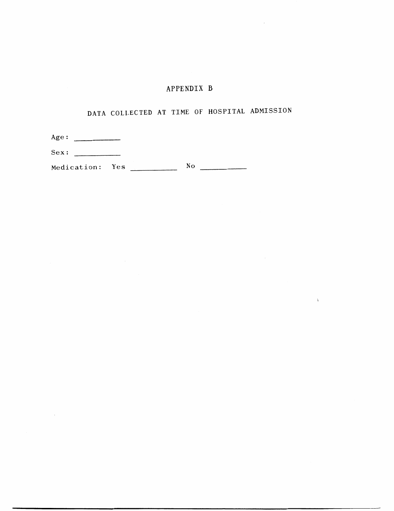# APPENDIX B

 $\mathcal{A}$ 

 $\chi$ 

# DATA COLLECTED AT TIME OF HOSPITAL ADMISSION

| Age:            |    |
|-----------------|----|
| Sex:            |    |
| Medication: Yes | No |